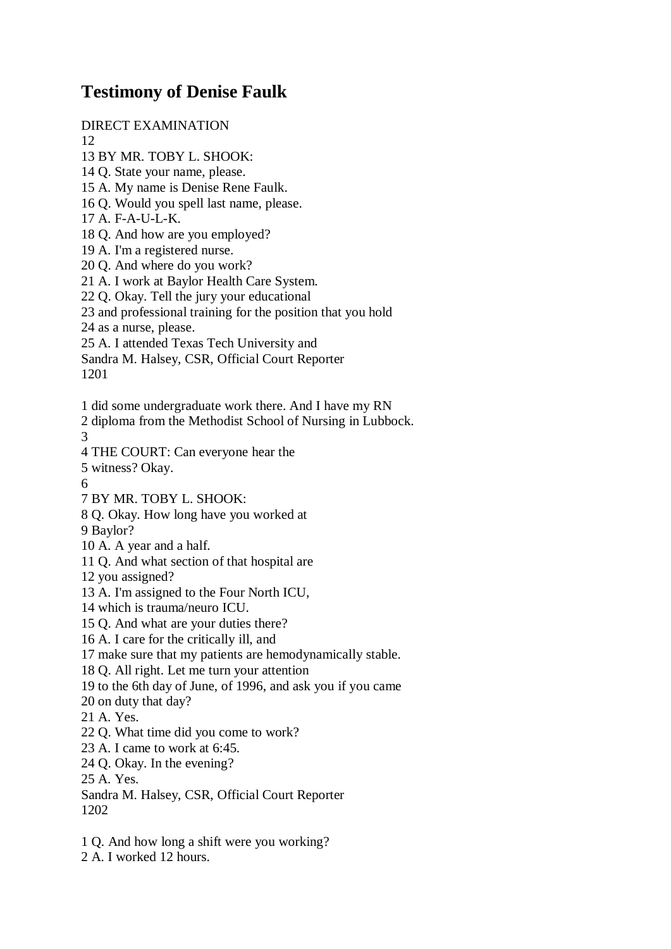## **Testimony of Denise Faulk**

DIRECT EXAMINATION 12 13 BY MR. TOBY L. SHOOK: 14 Q. State your name, please. 15 A. My name is Denise Rene Faulk. 16 Q. Would you spell last name, please. 17 A. F-A-U-L-K. 18 Q. And how are you employed? 19 A. I'm a registered nurse. 20 Q. And where do you work? 21 A. I work at Baylor Health Care System. 22 Q. Okay. Tell the jury your educational 23 and professional training for the position that you hold 24 as a nurse, please. 25 A. I attended Texas Tech University and Sandra M. Halsey, CSR, Official Court Reporter 1201 1 did some undergraduate work there. And I have my RN 2 diploma from the Methodist School of Nursing in Lubbock. 3 4 THE COURT: Can everyone hear the 5 witness? Okay. 6 7 BY MR. TOBY L. SHOOK: 8 Q. Okay. How long have you worked at 9 Baylor? 10 A. A year and a half. 11 Q. And what section of that hospital are 12 you assigned? 13 A. I'm assigned to the Four North ICU, 14 which is trauma/neuro ICU. 15 Q. And what are your duties there? 16 A. I care for the critically ill, and 17 make sure that my patients are hemodynamically stable. 18 Q. All right. Let me turn your attention 19 to the 6th day of June, of 1996, and ask you if you came 20 on duty that day? 21 A. Yes. 22 Q. What time did you come to work? 23 A. I came to work at 6:45. 24 Q. Okay. In the evening? 25 A. Yes. Sandra M. Halsey, CSR, Official Court Reporter 1202 1 Q. And how long a shift were you working?

2 A. I worked 12 hours.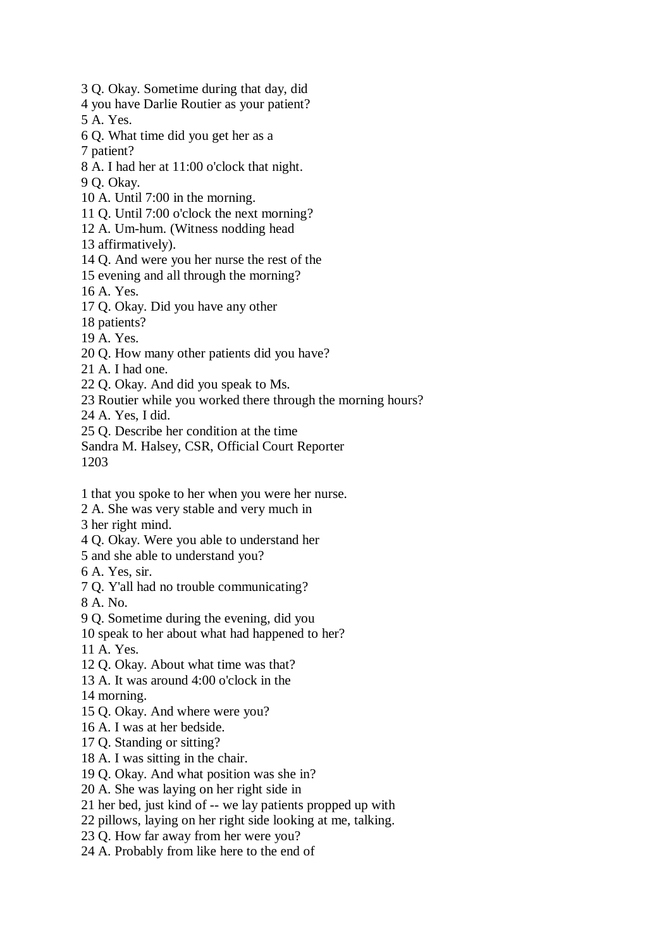- 3 Q. Okay. Sometime during that day, did
- 4 you have Darlie Routier as your patient?
- 5 A. Yes.
- 6 Q. What time did you get her as a
- 7 patient?
- 8 A. I had her at 11:00 o'clock that night.
- 9 Q. Okay.
- 10 A. Until 7:00 in the morning.
- 11 Q. Until 7:00 o'clock the next morning?
- 12 A. Um-hum. (Witness nodding head
- 13 affirmatively).
- 14 Q. And were you her nurse the rest of the
- 15 evening and all through the morning?
- 16 A. Yes.
- 17 Q. Okay. Did you have any other
- 18 patients?
- 19 A. Yes.
- 20 Q. How many other patients did you have?
- 21 A. I had one.
- 22 Q. Okay. And did you speak to Ms.
- 23 Routier while you worked there through the morning hours?

24 A. Yes, I did.

- 25 Q. Describe her condition at the time
- Sandra M. Halsey, CSR, Official Court Reporter 1203
- 1 that you spoke to her when you were her nurse.
- 2 A. She was very stable and very much in
- 3 her right mind.
- 4 Q. Okay. Were you able to understand her
- 5 and she able to understand you?
- 6 A. Yes, sir.
- 7 Q. Y'all had no trouble communicating?
- 8 A. No.
- 9 Q. Sometime during the evening, did you
- 10 speak to her about what had happened to her?
- 11 A. Yes.
- 12 Q. Okay. About what time was that?
- 13 A. It was around 4:00 o'clock in the
- 14 morning.
- 15 Q. Okay. And where were you?
- 16 A. I was at her bedside.
- 17 Q. Standing or sitting?
- 18 A. I was sitting in the chair.
- 19 Q. Okay. And what position was she in?
- 20 A. She was laying on her right side in
- 21 her bed, just kind of -- we lay patients propped up with
- 22 pillows, laying on her right side looking at me, talking.
- 23 Q. How far away from her were you?
- 24 A. Probably from like here to the end of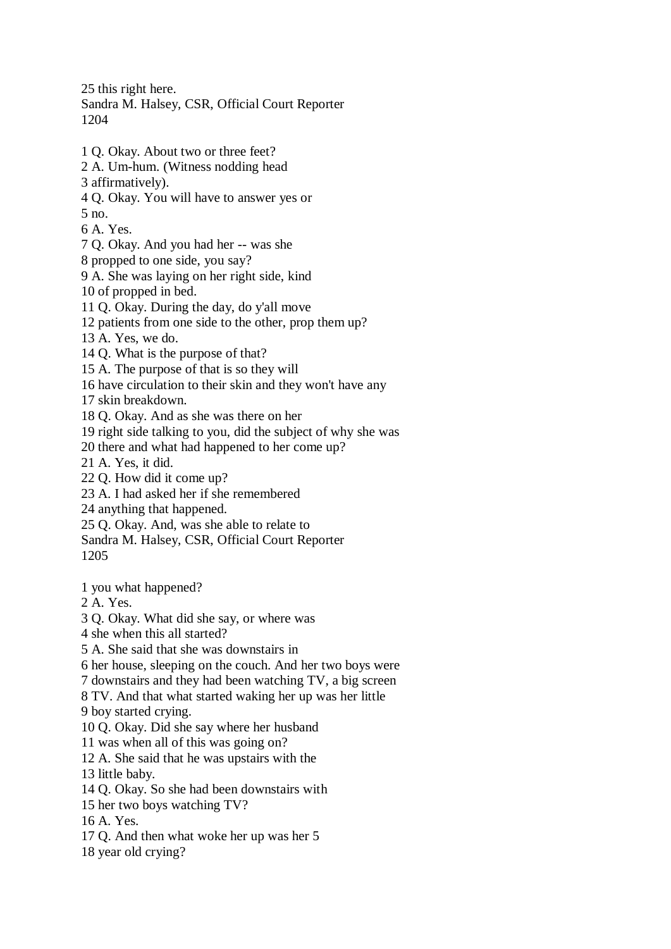25 this right here.

Sandra M. Halsey, CSR, Official Court Reporter 1204

1 Q. Okay. About two or three feet?

- 2 A. Um-hum. (Witness nodding head
- 3 affirmatively).
- 4 Q. Okay. You will have to answer yes or
- 5 no.
- 6 A. Yes.
- 7 Q. Okay. And you had her -- was she
- 8 propped to one side, you say?

9 A. She was laying on her right side, kind

- 10 of propped in bed.
- 11 Q. Okay. During the day, do y'all move
- 12 patients from one side to the other, prop them up?
- 13 A. Yes, we do.
- 14 Q. What is the purpose of that?
- 15 A. The purpose of that is so they will
- 16 have circulation to their skin and they won't have any

17 skin breakdown.

- 18 Q. Okay. And as she was there on her
- 19 right side talking to you, did the subject of why she was

20 there and what had happened to her come up?

- 21 A. Yes, it did.
- 22 Q. How did it come up?
- 23 A. I had asked her if she remembered
- 24 anything that happened.
- 25 Q. Okay. And, was she able to relate to
- Sandra M. Halsey, CSR, Official Court Reporter 1205
- 1 you what happened?
- 2 A. Yes.
- 3 Q. Okay. What did she say, or where was
- 4 she when this all started?
- 5 A. She said that she was downstairs in
- 6 her house, sleeping on the couch. And her two boys were
- 7 downstairs and they had been watching TV, a big screen
- 8 TV. And that what started waking her up was her little
- 9 boy started crying.
- 10 Q. Okay. Did she say where her husband
- 11 was when all of this was going on?
- 12 A. She said that he was upstairs with the
- 13 little baby.
- 14 Q. Okay. So she had been downstairs with
- 15 her two boys watching TV?
- 16 A. Yes.
- 17 Q. And then what woke her up was her 5
- 18 year old crying?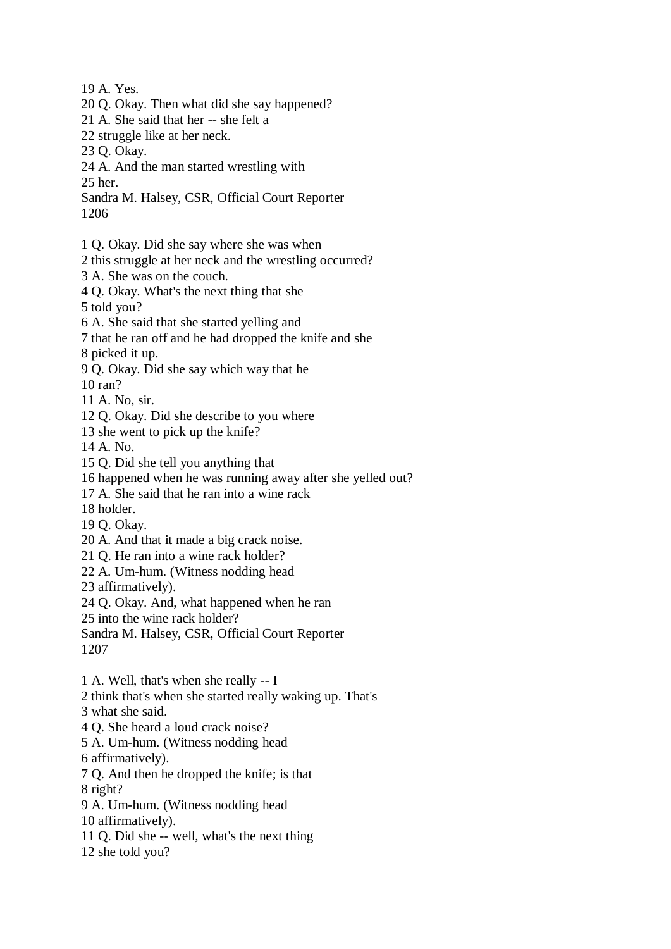19 A. Yes.

- 20 Q. Okay. Then what did she say happened?
- 21 A. She said that her -- she felt a
- 22 struggle like at her neck.
- 23 Q. Okay.
- 24 A. And the man started wrestling with
- 25 her.
- Sandra M. Halsey, CSR, Official Court Reporter 1206
- 1 Q. Okay. Did she say where she was when
- 2 this struggle at her neck and the wrestling occurred?
- 3 A. She was on the couch.
- 4 Q. Okay. What's the next thing that she
- 5 told you?
- 6 A. She said that she started yelling and
- 7 that he ran off and he had dropped the knife and she
- 8 picked it up.
- 9 Q. Okay. Did she say which way that he
- 10 ran?
- 11 A. No, sir.
- 12 Q. Okay. Did she describe to you where
- 13 she went to pick up the knife?
- 14 A. No.
- 15 Q. Did she tell you anything that
- 16 happened when he was running away after she yelled out?
- 17 A. She said that he ran into a wine rack
- 18 holder.
- 19 Q. Okay.
- 20 A. And that it made a big crack noise.
- 21 Q. He ran into a wine rack holder?
- 22 A. Um-hum. (Witness nodding head
- 23 affirmatively).
- 24 Q. Okay. And, what happened when he ran
- 25 into the wine rack holder?
- Sandra M. Halsey, CSR, Official Court Reporter
- 1207
- 1 A. Well, that's when she really -- I
- 2 think that's when she started really waking up. That's
- 3 what she said.
- 4 Q. She heard a loud crack noise?
- 5 A. Um-hum. (Witness nodding head
- 6 affirmatively).
- 7 Q. And then he dropped the knife; is that
- 8 right?
- 9 A. Um-hum. (Witness nodding head
- 10 affirmatively).
- 11 Q. Did she -- well, what's the next thing
- 12 she told you?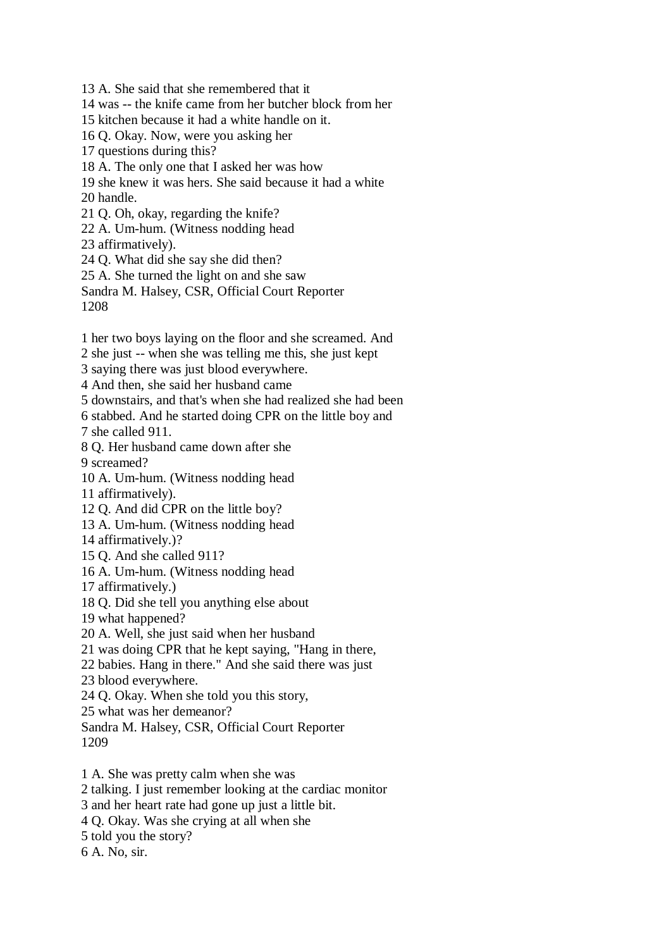13 A. She said that she remembered that it 14 was -- the knife came from her butcher block from her 15 kitchen because it had a white handle on it. 16 Q. Okay. Now, were you asking her 17 questions during this? 18 A. The only one that I asked her was how 19 she knew it was hers. She said because it had a white 20 handle. 21 Q. Oh, okay, regarding the knife? 22 A. Um-hum. (Witness nodding head 23 affirmatively). 24 Q. What did she say she did then? 25 A. She turned the light on and she saw Sandra M. Halsey, CSR, Official Court Reporter 1208 1 her two boys laying on the floor and she screamed. And 2 she just -- when she was telling me this, she just kept 3 saying there was just blood everywhere. 4 And then, she said her husband came 5 downstairs, and that's when she had realized she had been 6 stabbed. And he started doing CPR on the little boy and 7 she called 911. 8 Q. Her husband came down after she 9 screamed? 10 A. Um-hum. (Witness nodding head 11 affirmatively). 12 Q. And did CPR on the little boy? 13 A. Um-hum. (Witness nodding head 14 affirmatively.)? 15 Q. And she called 911? 16 A. Um-hum. (Witness nodding head 17 affirmatively.) 18 Q. Did she tell you anything else about 19 what happened? 20 A. Well, she just said when her husband 21 was doing CPR that he kept saying, "Hang in there, 22 babies. Hang in there." And she said there was just 23 blood everywhere. 24 Q. Okay. When she told you this story, 25 what was her demeanor? Sandra M. Halsey, CSR, Official Court Reporter 1209 1 A. She was pretty calm when she was 2 talking. I just remember looking at the cardiac monitor 3 and her heart rate had gone up just a little bit. 4 Q. Okay. Was she crying at all when she 5 told you the story?

6 A. No, sir.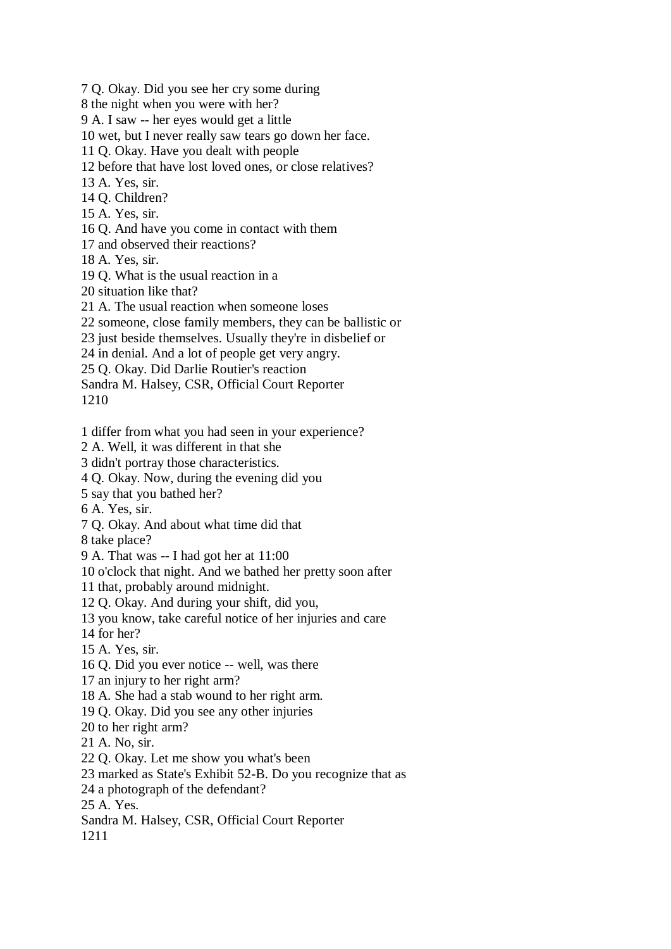7 Q. Okay. Did you see her cry some during

8 the night when you were with her?

9 A. I saw -- her eyes would get a little

10 wet, but I never really saw tears go down her face.

11 Q. Okay. Have you dealt with people

12 before that have lost loved ones, or close relatives?

13 A. Yes, sir.

14 Q. Children?

15 A. Yes, sir.

16 Q. And have you come in contact with them

17 and observed their reactions?

18 A. Yes, sir.

19 Q. What is the usual reaction in a

20 situation like that?

21 A. The usual reaction when someone loses

22 someone, close family members, they can be ballistic or

23 just beside themselves. Usually they're in disbelief or

24 in denial. And a lot of people get very angry.

25 Q. Okay. Did Darlie Routier's reaction

Sandra M. Halsey, CSR, Official Court Reporter

1210

1 differ from what you had seen in your experience?

2 A. Well, it was different in that she

3 didn't portray those characteristics.

4 Q. Okay. Now, during the evening did you

5 say that you bathed her?

6 A. Yes, sir.

7 Q. Okay. And about what time did that

8 take place?

9 A. That was -- I had got her at 11:00

10 o'clock that night. And we bathed her pretty soon after

11 that, probably around midnight.

12 Q. Okay. And during your shift, did you,

13 you know, take careful notice of her injuries and care

14 for her?

15 A. Yes, sir.

16 Q. Did you ever notice -- well, was there

17 an injury to her right arm?

18 A. She had a stab wound to her right arm.

19 Q. Okay. Did you see any other injuries

20 to her right arm?

21 A. No, sir.

22 Q. Okay. Let me show you what's been

23 marked as State's Exhibit 52-B. Do you recognize that as

24 a photograph of the defendant?

25 A. Yes.

Sandra M. Halsey, CSR, Official Court Reporter

1211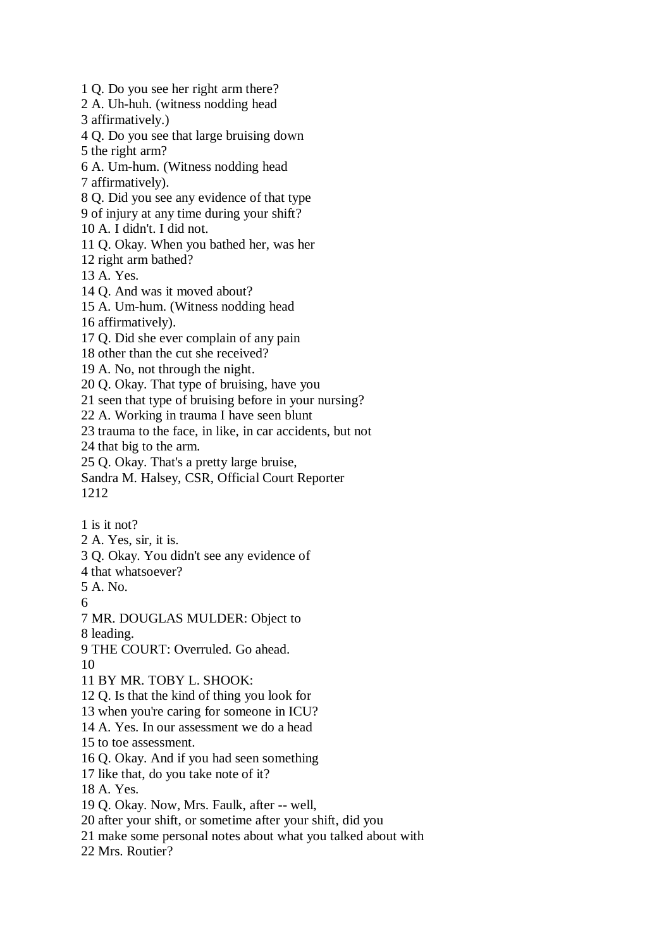1 Q. Do you see her right arm there? 2 A. Uh-huh. (witness nodding head 3 affirmatively.) 4 Q. Do you see that large bruising down 5 the right arm? 6 A. Um-hum. (Witness nodding head 7 affirmatively). 8 Q. Did you see any evidence of that type 9 of injury at any time during your shift? 10 A. I didn't. I did not. 11 Q. Okay. When you bathed her, was her 12 right arm bathed? 13 A. Yes. 14 Q. And was it moved about? 15 A. Um-hum. (Witness nodding head 16 affirmatively). 17 Q. Did she ever complain of any pain 18 other than the cut she received? 19 A. No, not through the night. 20 Q. Okay. That type of bruising, have you 21 seen that type of bruising before in your nursing? 22 A. Working in trauma I have seen blunt 23 trauma to the face, in like, in car accidents, but not 24 that big to the arm. 25 Q. Okay. That's a pretty large bruise, Sandra M. Halsey, CSR, Official Court Reporter 1212 1 is it not? 2 A. Yes, sir, it is. 3 Q. Okay. You didn't see any evidence of 4 that whatsoever? 5 A. No. 6 7 MR. DOUGLAS MULDER: Object to 8 leading. 9 THE COURT: Overruled. Go ahead. 10 11 BY MR. TOBY L. SHOOK: 12 Q. Is that the kind of thing you look for 13 when you're caring for someone in ICU? 14 A. Yes. In our assessment we do a head 15 to toe assessment. 16 Q. Okay. And if you had seen something 17 like that, do you take note of it? 18 A. Yes. 19 Q. Okay. Now, Mrs. Faulk, after -- well, 20 after your shift, or sometime after your shift, did you 21 make some personal notes about what you talked about with 22 Mrs. Routier?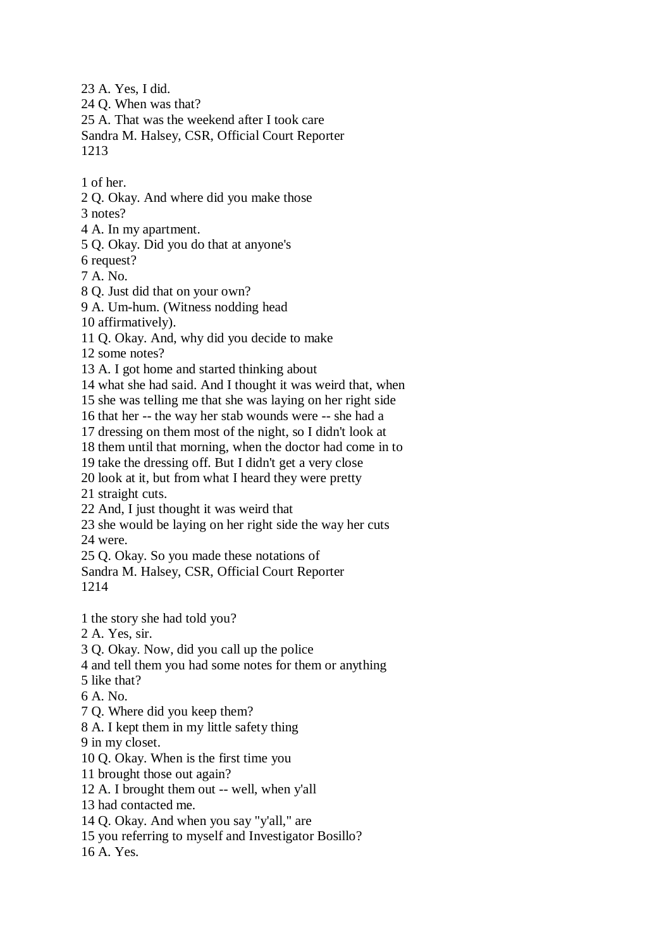23 A. Yes, I did.

24 Q. When was that?

25 A. That was the weekend after I took care

Sandra M. Halsey, CSR, Official Court Reporter 1213

1 of her.

2 Q. Okay. And where did you make those

3 notes?

4 A. In my apartment.

5 Q. Okay. Did you do that at anyone's

6 request?

7 A. No.

8 Q. Just did that on your own?

9 A. Um-hum. (Witness nodding head

10 affirmatively).

11 Q. Okay. And, why did you decide to make

12 some notes?

13 A. I got home and started thinking about

14 what she had said. And I thought it was weird that, when

15 she was telling me that she was laying on her right side

16 that her -- the way her stab wounds were -- she had a

17 dressing on them most of the night, so I didn't look at

18 them until that morning, when the doctor had come in to

19 take the dressing off. But I didn't get a very close

20 look at it, but from what I heard they were pretty

21 straight cuts.

22 And, I just thought it was weird that

23 she would be laying on her right side the way her cuts 24 were.

25 Q. Okay. So you made these notations of

Sandra M. Halsey, CSR, Official Court Reporter 1214

1 the story she had told you?

2 A. Yes, sir.

3 Q. Okay. Now, did you call up the police

4 and tell them you had some notes for them or anything

5 like that?

6 A. No.

7 Q. Where did you keep them?

8 A. I kept them in my little safety thing

9 in my closet.

10 Q. Okay. When is the first time you

11 brought those out again?

12 A. I brought them out -- well, when y'all

13 had contacted me.

14 Q. Okay. And when you say "y'all," are

15 you referring to myself and Investigator Bosillo?

16 A. Yes.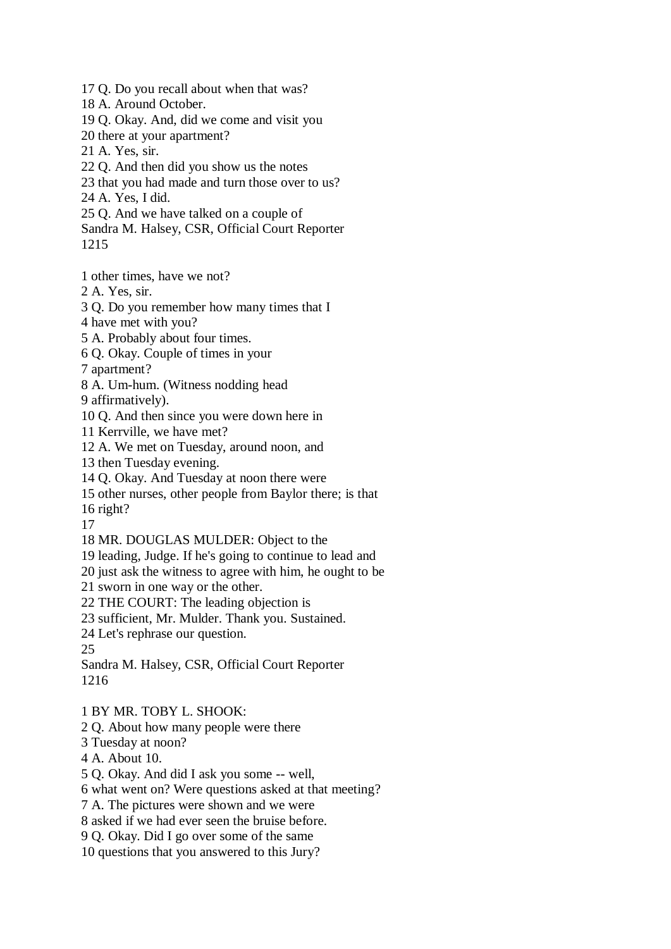17 Q. Do you recall about when that was?

18 A. Around October.

19 Q. Okay. And, did we come and visit you

20 there at your apartment?

21 A. Yes, sir.

22 Q. And then did you show us the notes

23 that you had made and turn those over to us?

24 A. Yes, I did.

25 Q. And we have talked on a couple of

Sandra M. Halsey, CSR, Official Court Reporter 1215

1 other times, have we not?

2 A. Yes, sir.

3 Q. Do you remember how many times that I

4 have met with you?

5 A. Probably about four times.

6 Q. Okay. Couple of times in your

7 apartment?

8 A. Um-hum. (Witness nodding head

9 affirmatively).

10 Q. And then since you were down here in

11 Kerrville, we have met?

12 A. We met on Tuesday, around noon, and

13 then Tuesday evening.

14 Q. Okay. And Tuesday at noon there were

15 other nurses, other people from Baylor there; is that

16 right?

17

18 MR. DOUGLAS MULDER: Object to the

19 leading, Judge. If he's going to continue to lead and

20 just ask the witness to agree with him, he ought to be

21 sworn in one way or the other.

22 THE COURT: The leading objection is

23 sufficient, Mr. Mulder. Thank you. Sustained.

24 Let's rephrase our question.

25

Sandra M. Halsey, CSR, Official Court Reporter 1216

1 BY MR. TOBY L. SHOOK:

2 Q. About how many people were there

3 Tuesday at noon?

4 A. About 10.

5 Q. Okay. And did I ask you some -- well,

6 what went on? Were questions asked at that meeting?

7 A. The pictures were shown and we were

8 asked if we had ever seen the bruise before.

9 Q. Okay. Did I go over some of the same

10 questions that you answered to this Jury?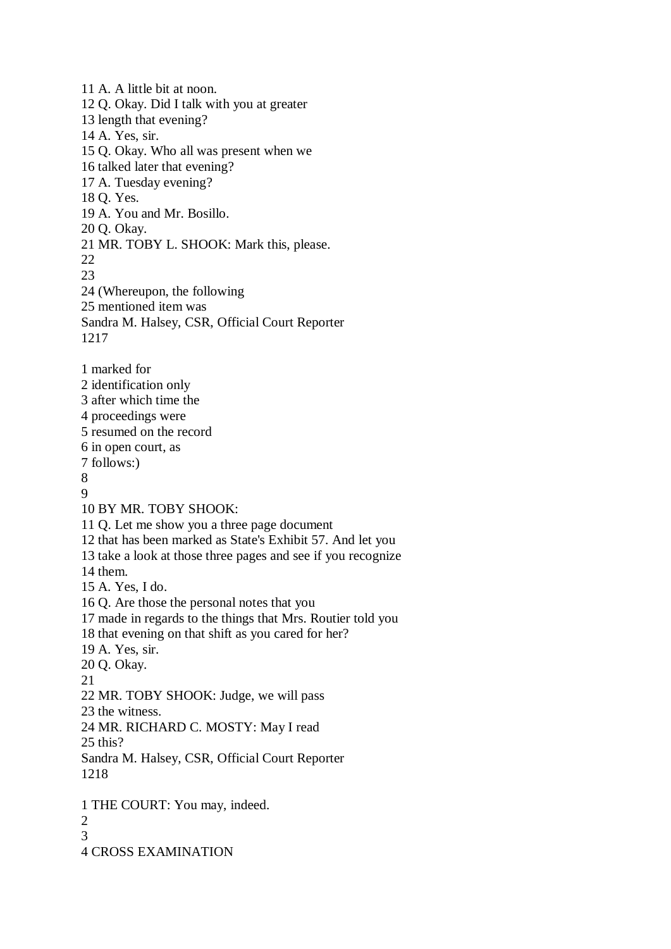11 A. A little bit at noon. 12 Q. Okay. Did I talk with you at greater 13 length that evening? 14 A. Yes, sir. 15 Q. Okay. Who all was present when we 16 talked later that evening? 17 A. Tuesday evening? 18 Q. Yes. 19 A. You and Mr. Bosillo. 20 Q. Okay. 21 MR. TOBY L. SHOOK: Mark this, please. 22 23 24 (Whereupon, the following 25 mentioned item was Sandra M. Halsey, CSR, Official Court Reporter 1217 1 marked for 2 identification only 3 after which time the 4 proceedings were 5 resumed on the record 6 in open court, as 7 follows:) 8 9 10 BY MR. TOBY SHOOK: 11 Q. Let me show you a three page document 12 that has been marked as State's Exhibit 57. And let you 13 take a look at those three pages and see if you recognize 14 them. 15 A. Yes, I do. 16 Q. Are those the personal notes that you 17 made in regards to the things that Mrs. Routier told you 18 that evening on that shift as you cared for her? 19 A. Yes, sir. 20 Q. Okay. 21 22 MR. TOBY SHOOK: Judge, we will pass 23 the witness. 24 MR. RICHARD C. MOSTY: May I read 25 this? Sandra M. Halsey, CSR, Official Court Reporter 1218 1 THE COURT: You may, indeed. 2 3 4 CROSS EXAMINATION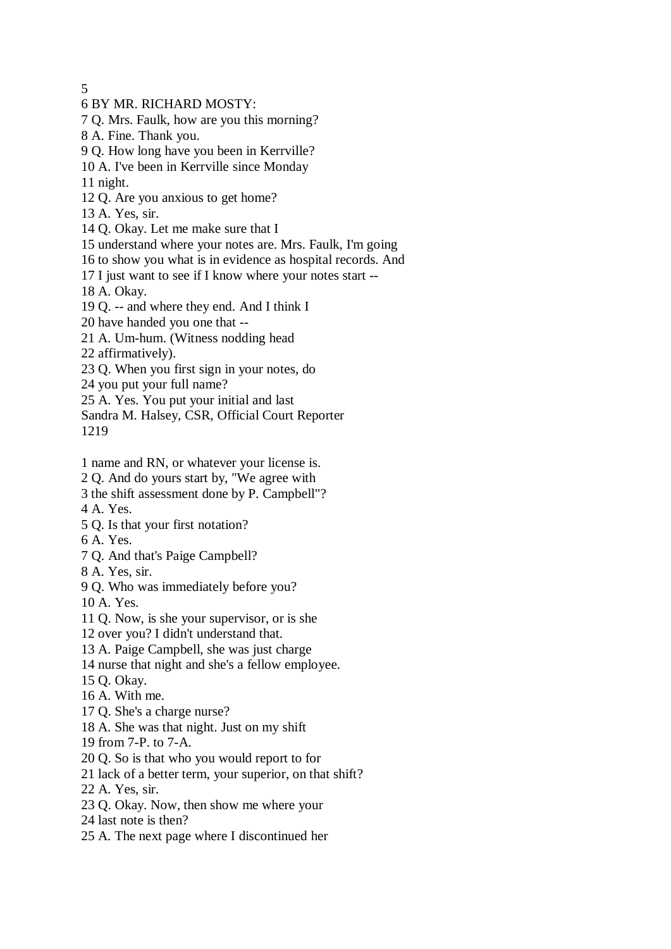5

6 BY MR. RICHARD MOSTY:

7 Q. Mrs. Faulk, how are you this morning?

- 8 A. Fine. Thank you.
- 9 Q. How long have you been in Kerrville?
- 10 A. I've been in Kerrville since Monday

11 night.

- 12 Q. Are you anxious to get home?
- 13 A. Yes, sir.
- 14 Q. Okay. Let me make sure that I
- 15 understand where your notes are. Mrs. Faulk, I'm going
- 16 to show you what is in evidence as hospital records. And

17 I just want to see if I know where your notes start --

18 A. Okay.

19 Q. -- and where they end. And I think I

20 have handed you one that --

21 A. Um-hum. (Witness nodding head

22 affirmatively).

23 Q. When you first sign in your notes, do

24 you put your full name?

25 A. Yes. You put your initial and last

Sandra M. Halsey, CSR, Official Court Reporter 1219

1 name and RN, or whatever your license is.

2 Q. And do yours start by, "We agree with

3 the shift assessment done by P. Campbell"?

4 A. Yes.

- 5 Q. Is that your first notation?
- 6 A. Yes.
- 7 Q. And that's Paige Campbell?
- 8 A. Yes, sir.
- 9 Q. Who was immediately before you?

10 A. Yes.

11 Q. Now, is she your supervisor, or is she

12 over you? I didn't understand that.

- 13 A. Paige Campbell, she was just charge
- 14 nurse that night and she's a fellow employee.
- 15 Q. Okay.
- 16 A. With me.
- 17 Q. She's a charge nurse?
- 18 A. She was that night. Just on my shift
- 19 from 7-P. to 7-A.
- 20 Q. So is that who you would report to for
- 21 lack of a better term, your superior, on that shift?
- 22 A. Yes, sir.
- 23 Q. Okay. Now, then show me where your
- 24 last note is then?
- 25 A. The next page where I discontinued her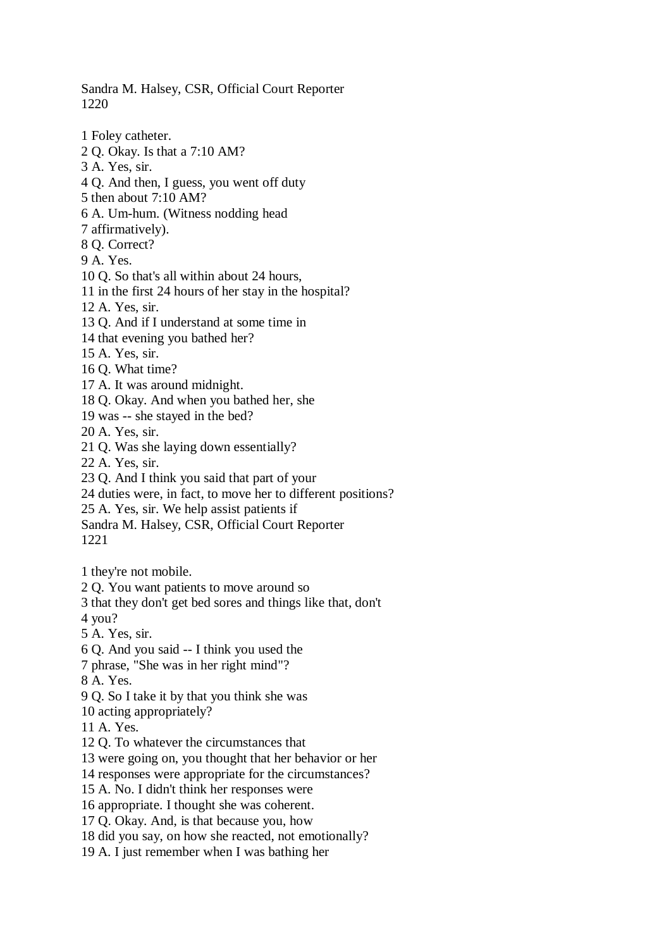Sandra M. Halsey, CSR, Official Court Reporter 1220

1 Foley catheter. 2 Q. Okay. Is that a 7:10 AM? 3 A. Yes, sir. 4 Q. And then, I guess, you went off duty 5 then about 7:10 AM? 6 A. Um-hum. (Witness nodding head 7 affirmatively). 8 Q. Correct? 9 A. Yes. 10 Q. So that's all within about 24 hours, 11 in the first 24 hours of her stay in the hospital? 12 A. Yes, sir. 13 Q. And if I understand at some time in 14 that evening you bathed her? 15 A. Yes, sir. 16 Q. What time? 17 A. It was around midnight. 18 Q. Okay. And when you bathed her, she 19 was -- she stayed in the bed? 20 A. Yes, sir. 21 Q. Was she laying down essentially? 22 A. Yes, sir. 23 Q. And I think you said that part of your 24 duties were, in fact, to move her to different positions? 25 A. Yes, sir. We help assist patients if Sandra M. Halsey, CSR, Official Court Reporter 1221 1 they're not mobile. 2 Q. You want patients to move around so 3 that they don't get bed sores and things like that, don't 4 you? 5 A. Yes, sir. 6 Q. And you said -- I think you used the 7 phrase, "She was in her right mind"? 8 A. Yes. 9 Q. So I take it by that you think she was 10 acting appropriately? 11 A. Yes.

12 Q. To whatever the circumstances that

13 were going on, you thought that her behavior or her

14 responses were appropriate for the circumstances?

15 A. No. I didn't think her responses were

16 appropriate. I thought she was coherent.

17 Q. Okay. And, is that because you, how

18 did you say, on how she reacted, not emotionally?

19 A. I just remember when I was bathing her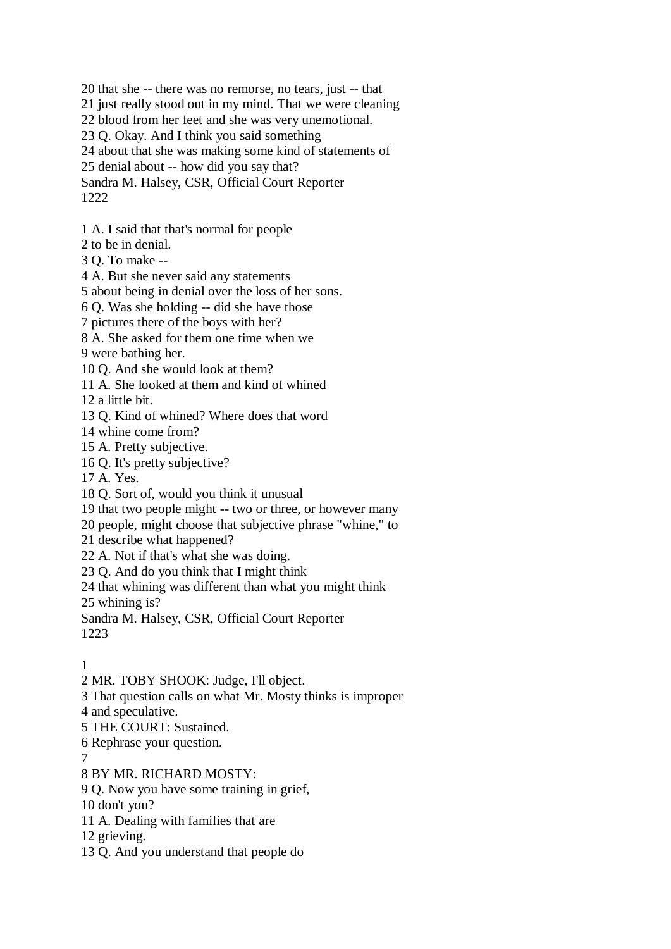20 that she -- there was no remorse, no tears, just -- that 21 just really stood out in my mind. That we were cleaning 22 blood from her feet and she was very unemotional. 23 Q. Okay. And I think you said something 24 about that she was making some kind of statements of 25 denial about -- how did you say that? Sandra M. Halsey, CSR, Official Court Reporter 1222

1 A. I said that that's normal for people

2 to be in denial.

3 Q. To make --

4 A. But she never said any statements

5 about being in denial over the loss of her sons.

6 Q. Was she holding -- did she have those

7 pictures there of the boys with her?

8 A. She asked for them one time when we

9 were bathing her.

10 Q. And she would look at them?

11 A. She looked at them and kind of whined

12 a little bit.

13 Q. Kind of whined? Where does that word

14 whine come from?

15 A. Pretty subjective.

16 Q. It's pretty subjective?

17 A. Yes.

18 Q. Sort of, would you think it unusual

19 that two people might -- two or three, or however many

20 people, might choose that subjective phrase "whine," to

21 describe what happened?

22 A. Not if that's what she was doing.

23 Q. And do you think that I might think

24 that whining was different than what you might think

25 whining is?

Sandra M. Halsey, CSR, Official Court Reporter 1223

1

2 MR. TOBY SHOOK: Judge, I'll object.

3 That question calls on what Mr. Mosty thinks is improper

4 and speculative.

5 THE COURT: Sustained.

6 Rephrase your question.

7

8 BY MR. RICHARD MOSTY:

9 Q. Now you have some training in grief,

10 don't you?

11 A. Dealing with families that are

12 grieving.

13 Q. And you understand that people do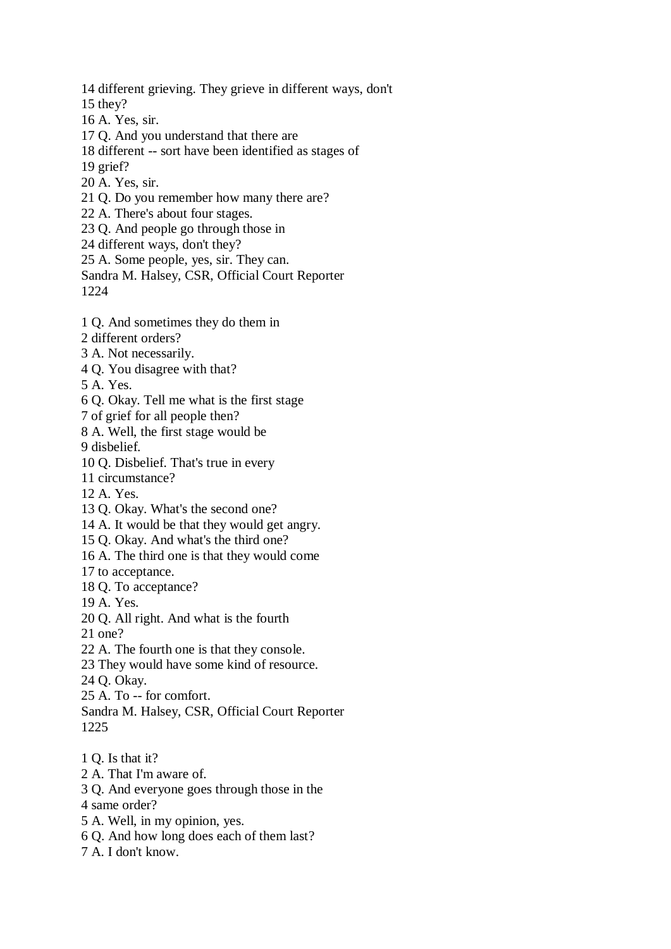14 different grieving. They grieve in different ways, don't

15 they?

- 16 A. Yes, sir.
- 17 Q. And you understand that there are
- 18 different -- sort have been identified as stages of
- 19 grief?
- 20 A. Yes, sir.
- 21 Q. Do you remember how many there are?
- 22 A. There's about four stages.
- 23 Q. And people go through those in
- 24 different ways, don't they?
- 25 A. Some people, yes, sir. They can.
- Sandra M. Halsey, CSR, Official Court Reporter 1224
- 1 Q. And sometimes they do them in
- 2 different orders?
- 3 A. Not necessarily.
- 4 Q. You disagree with that?
- 5 A. Yes.
- 6 Q. Okay. Tell me what is the first stage
- 7 of grief for all people then?
- 8 A. Well, the first stage would be
- 9 disbelief.
- 10 Q. Disbelief. That's true in every
- 11 circumstance?
- 12 A. Yes.
- 13 Q. Okay. What's the second one?
- 14 A. It would be that they would get angry.
- 15 Q. Okay. And what's the third one?
- 16 A. The third one is that they would come
- 17 to acceptance.
- 18 Q. To acceptance?
- 19 A. Yes.
- 20 Q. All right. And what is the fourth
- 21 one?
- 22 A. The fourth one is that they console.
- 23 They would have some kind of resource.
- 24 Q. Okay.
- 25 A. To -- for comfort.
- Sandra M. Halsey, CSR, Official Court Reporter 1225
- 1 Q. Is that it?
- 2 A. That I'm aware of.
- 3 Q. And everyone goes through those in the
- 4 same order?
- 5 A. Well, in my opinion, yes.
- 6 Q. And how long does each of them last?
- 7 A. I don't know.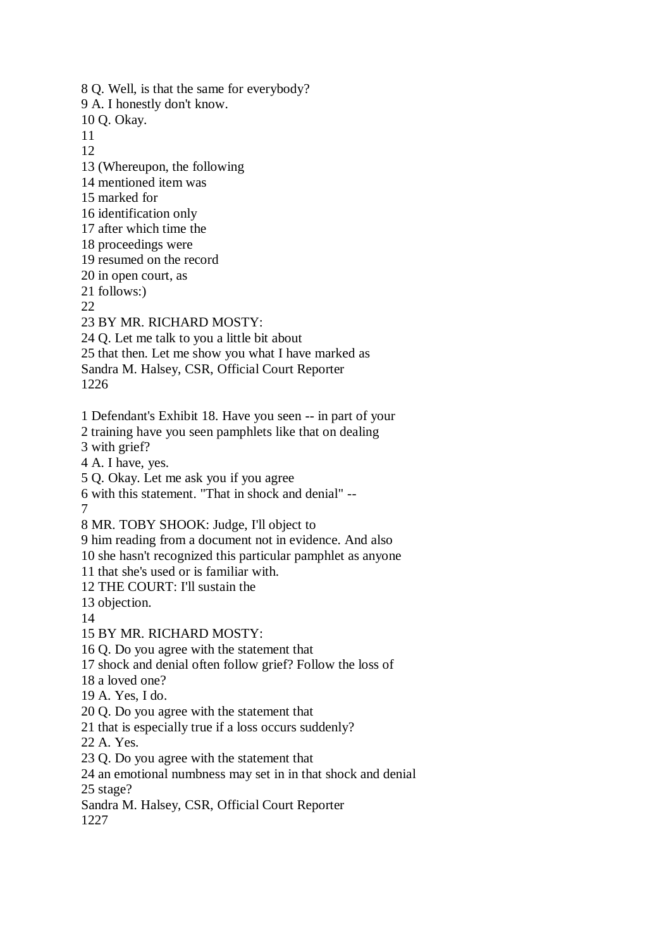8 Q. Well, is that the same for everybody?

9 A. I honestly don't know.

10 Q. Okay.

11 12

13 (Whereupon, the following

- 14 mentioned item was
- 15 marked for
- 16 identification only
- 17 after which time the
- 18 proceedings were
- 19 resumed on the record
- 20 in open court, as

21 follows:)

22

## 23 BY MR. RICHARD MOSTY:

24 Q. Let me talk to you a little bit about 25 that then. Let me show you what I have marked as Sandra M. Halsey, CSR, Official Court Reporter 1226

1 Defendant's Exhibit 18. Have you seen -- in part of your

- 2 training have you seen pamphlets like that on dealing
- 3 with grief?
- 4 A. I have, yes.

5 Q. Okay. Let me ask you if you agree

6 with this statement. "That in shock and denial" -- 7

8 MR. TOBY SHOOK: Judge, I'll object to

9 him reading from a document not in evidence. And also

10 she hasn't recognized this particular pamphlet as anyone

11 that she's used or is familiar with.

12 THE COURT: I'll sustain the

13 objection.

14

15 BY MR. RICHARD MOSTY:

16 Q. Do you agree with the statement that

- 17 shock and denial often follow grief? Follow the loss of
- 18 a loved one?

```
19 A. Yes, I do.
```
20 Q. Do you agree with the statement that

- 21 that is especially true if a loss occurs suddenly?
- 22 A. Yes.
- 23 Q. Do you agree with the statement that

24 an emotional numbness may set in in that shock and denial 25 stage?

Sandra M. Halsey, CSR, Official Court Reporter

1227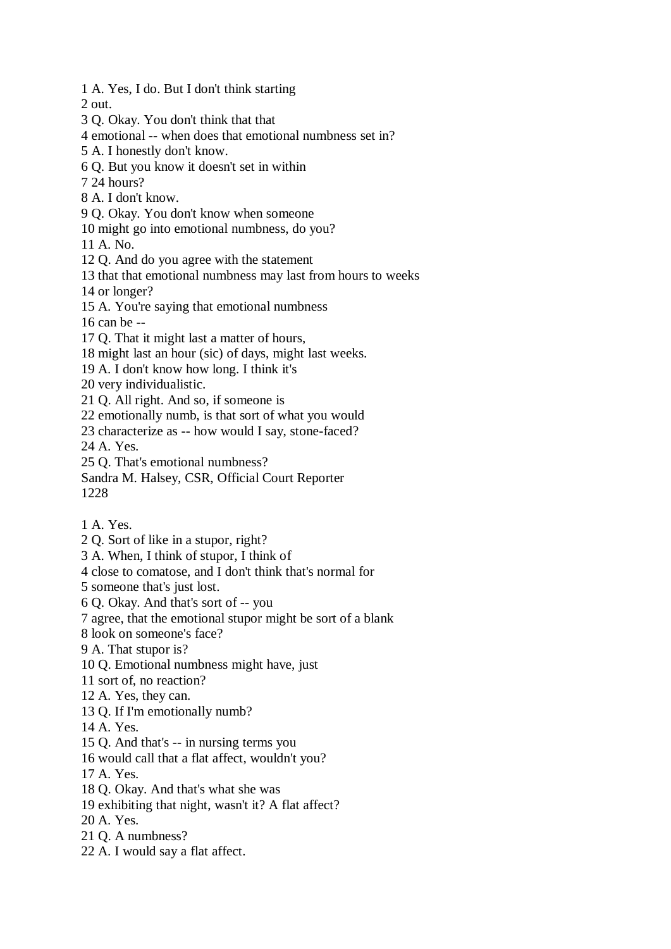1 A. Yes, I do. But I don't think starting

2 out.

3 Q. Okay. You don't think that that

- 4 emotional -- when does that emotional numbness set in?
- 5 A. I honestly don't know.
- 6 Q. But you know it doesn't set in within
- 7 24 hours?
- 8 A. I don't know.
- 9 Q. Okay. You don't know when someone
- 10 might go into emotional numbness, do you?

11 A. No.

- 12 Q. And do you agree with the statement
- 13 that that emotional numbness may last from hours to weeks

14 or longer?

15 A. You're saying that emotional numbness

16 can be --

- 17 Q. That it might last a matter of hours,
- 18 might last an hour (sic) of days, might last weeks.
- 19 A. I don't know how long. I think it's
- 20 very individualistic.
- 21 Q. All right. And so, if someone is
- 22 emotionally numb, is that sort of what you would
- 23 characterize as -- how would I say, stone-faced?

24 A. Yes.

- 25 Q. That's emotional numbness?
- Sandra M. Halsey, CSR, Official Court Reporter 1228
- 1 A. Yes.
- 2 Q. Sort of like in a stupor, right?
- 3 A. When, I think of stupor, I think of
- 4 close to comatose, and I don't think that's normal for
- 5 someone that's just lost.
- 6 Q. Okay. And that's sort of -- you
- 7 agree, that the emotional stupor might be sort of a blank
- 8 look on someone's face?
- 9 A. That stupor is?
- 10 Q. Emotional numbness might have, just
- 11 sort of, no reaction?
- 12 A. Yes, they can.
- 13 Q. If I'm emotionally numb?
- 14 A. Yes.
- 15 Q. And that's -- in nursing terms you
- 16 would call that a flat affect, wouldn't you?
- 17 A. Yes.
- 18 Q. Okay. And that's what she was
- 19 exhibiting that night, wasn't it? A flat affect?
- 20 A. Yes.
- 21 Q. A numbness?
- 22 A. I would say a flat affect.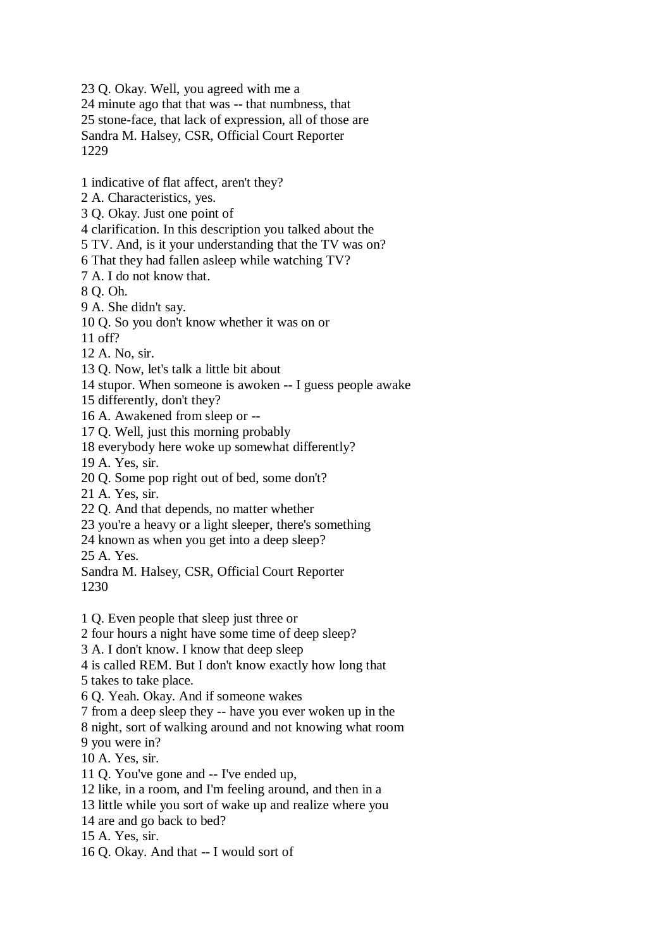23 Q. Okay. Well, you agreed with me a 24 minute ago that that was -- that numbness, that 25 stone-face, that lack of expression, all of those are Sandra M. Halsey, CSR, Official Court Reporter 1229

1 indicative of flat affect, aren't they?

2 A. Characteristics, yes.

3 Q. Okay. Just one point of

4 clarification. In this description you talked about the

5 TV. And, is it your understanding that the TV was on?

6 That they had fallen asleep while watching TV?

7 A. I do not know that.

8 Q. Oh.

9 A. She didn't say.

10 Q. So you don't know whether it was on or

11 off?

12 A. No, sir.

13 Q. Now, let's talk a little bit about

14 stupor. When someone is awoken -- I guess people awake

15 differently, don't they?

16 A. Awakened from sleep or --

17 Q. Well, just this morning probably

18 everybody here woke up somewhat differently?

19 A. Yes, sir.

20 Q. Some pop right out of bed, some don't?

21 A. Yes, sir.

22 Q. And that depends, no matter whether

23 you're a heavy or a light sleeper, there's something

24 known as when you get into a deep sleep?

25 A. Yes.

Sandra M. Halsey, CSR, Official Court Reporter 1230

1 Q. Even people that sleep just three or

2 four hours a night have some time of deep sleep?

3 A. I don't know. I know that deep sleep

4 is called REM. But I don't know exactly how long that 5 takes to take place.

6 Q. Yeah. Okay. And if someone wakes

7 from a deep sleep they -- have you ever woken up in the

8 night, sort of walking around and not knowing what room 9 you were in?

10 A. Yes, sir.

11 Q. You've gone and -- I've ended up,

12 like, in a room, and I'm feeling around, and then in a

13 little while you sort of wake up and realize where you

14 are and go back to bed?

15 A. Yes, sir.

16 Q. Okay. And that -- I would sort of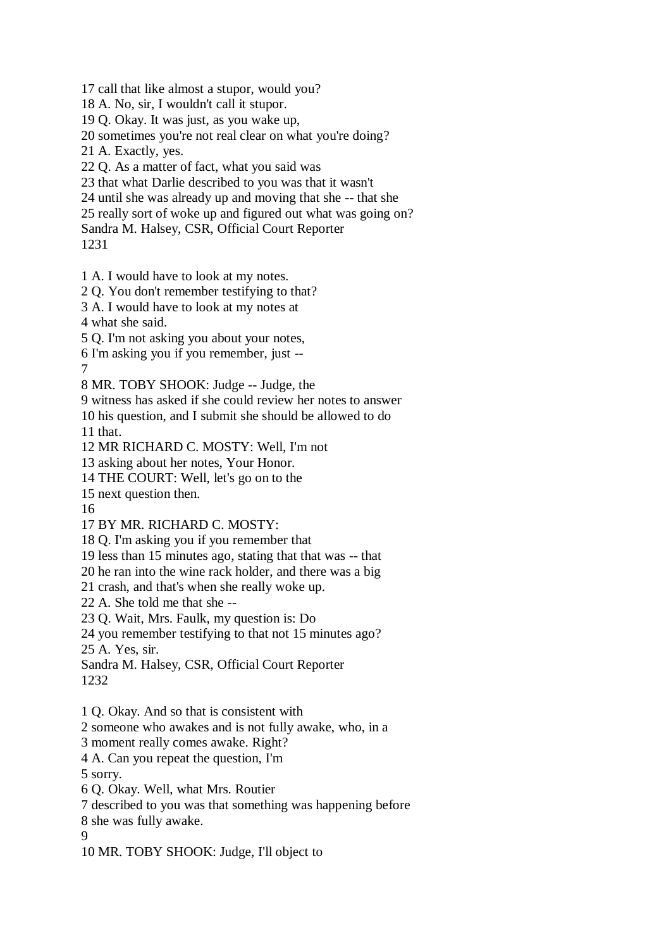17 call that like almost a stupor, would you?

18 A. No, sir, I wouldn't call it stupor.

19 Q. Okay. It was just, as you wake up,

20 sometimes you're not real clear on what you're doing?

21 A. Exactly, yes.

22 Q. As a matter of fact, what you said was

23 that what Darlie described to you was that it wasn't

24 until she was already up and moving that she -- that she

25 really sort of woke up and figured out what was going on?

Sandra M. Halsey, CSR, Official Court Reporter

1231

1 A. I would have to look at my notes.

2 Q. You don't remember testifying to that?

3 A. I would have to look at my notes at

4 what she said.

5 Q. I'm not asking you about your notes,

6 I'm asking you if you remember, just --

7

8 MR. TOBY SHOOK: Judge -- Judge, the

9 witness has asked if she could review her notes to answer

10 his question, and I submit she should be allowed to do

11 that.

12 MR RICHARD C. MOSTY: Well, I'm not

13 asking about her notes, Your Honor.

14 THE COURT: Well, let's go on to the

15 next question then.

16

17 BY MR. RICHARD C. MOSTY:

18 Q. I'm asking you if you remember that

19 less than 15 minutes ago, stating that that was -- that

20 he ran into the wine rack holder, and there was a big

21 crash, and that's when she really woke up.

22 A. She told me that she --

23 Q. Wait, Mrs. Faulk, my question is: Do

24 you remember testifying to that not 15 minutes ago?

25 A. Yes, sir.

Sandra M. Halsey, CSR, Official Court Reporter 1232

1 Q. Okay. And so that is consistent with

2 someone who awakes and is not fully awake, who, in a

3 moment really comes awake. Right?

4 A. Can you repeat the question, I'm

5 sorry.

6 Q. Okay. Well, what Mrs. Routier

7 described to you was that something was happening before

8 she was fully awake.

9

10 MR. TOBY SHOOK: Judge, I'll object to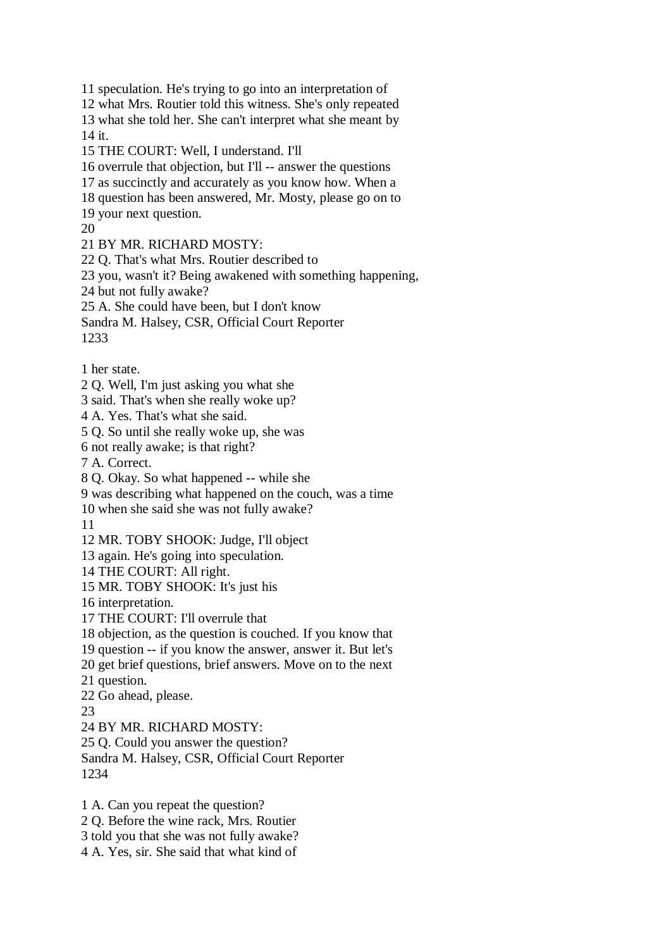12 what Mrs. Routier told this witness. She's only repeated 13 what she told her. She can't interpret what she meant by 14 it. 15 THE COURT: Well, I understand. I'll 16 overrule that objection, but I'll -- answer the questions 17 as succinctly and accurately as you know how. When a 18 question has been answered, Mr. Mosty, please go on to 19 your next question. 20 21 BY MR. RICHARD MOSTY: 22 Q. That's what Mrs. Routier described to 23 you, wasn't it? Being awakened with something happening, 24 but not fully awake? 25 A. She could have been, but I don't know Sandra M. Halsey, CSR, Official Court Reporter 1233 1 her state. 2 Q. Well, I'm just asking you what she 3 said. That's when she really woke up? 4 A. Yes. That's what she said. 5 Q. So until she really woke up, she was 6 not really awake; is that right? 7 A. Correct. 8 Q. Okay. So what happened -- while she 9 was describing what happened on the couch, was a time 10 when she said she was not fully awake?

11 speculation. He's trying to go into an interpretation of

11

12 MR. TOBY SHOOK: Judge, I'll object

13 again. He's going into speculation.

14 THE COURT: All right.

15 MR. TOBY SHOOK: It's just his

16 interpretation.

17 THE COURT: I'll overrule that

18 objection, as the question is couched. If you know that

19 question -- if you know the answer, answer it. But let's

20 get brief questions, brief answers. Move on to the next

21 question.

22 Go ahead, please.

23

24 BY MR. RICHARD MOSTY:

25 Q. Could you answer the question?

Sandra M. Halsey, CSR, Official Court Reporter 1234

1 A. Can you repeat the question?

2 Q. Before the wine rack, Mrs. Routier

3 told you that she was not fully awake?

4 A. Yes, sir. She said that what kind of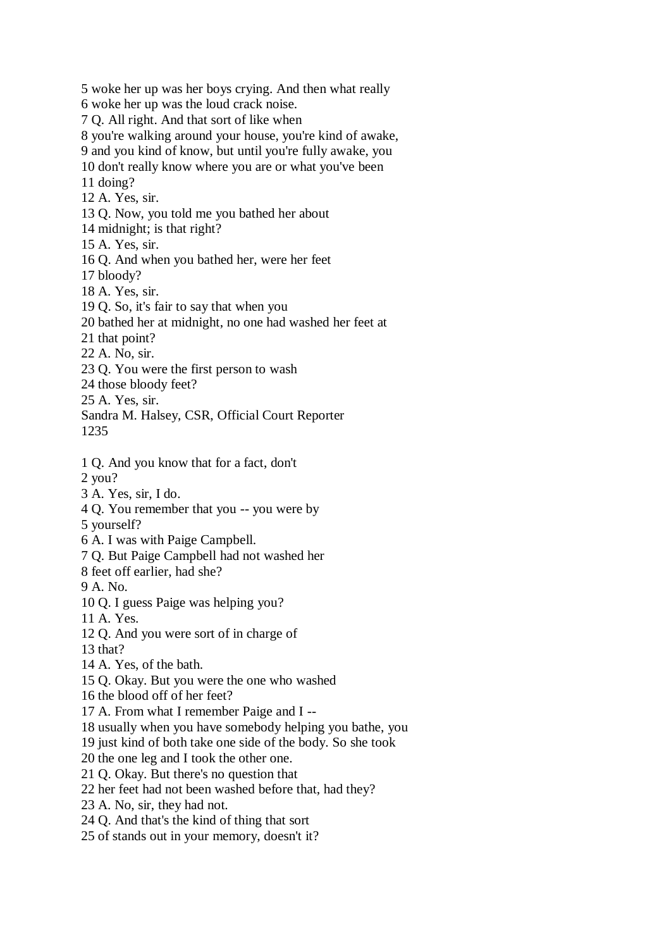5 woke her up was her boys crying. And then what really 6 woke her up was the loud crack noise. 7 Q. All right. And that sort of like when 8 you're walking around your house, you're kind of awake, 9 and you kind of know, but until you're fully awake, you 10 don't really know where you are or what you've been 11 doing? 12 A. Yes, sir. 13 Q. Now, you told me you bathed her about 14 midnight; is that right? 15 A. Yes, sir. 16 Q. And when you bathed her, were her feet 17 bloody? 18 A. Yes, sir. 19 Q. So, it's fair to say that when you 20 bathed her at midnight, no one had washed her feet at 21 that point? 22 A. No, sir. 23 Q. You were the first person to wash 24 those bloody feet? 25 A. Yes, sir. Sandra M. Halsey, CSR, Official Court Reporter 1235 1 Q. And you know that for a fact, don't 2 you? 3 A. Yes, sir, I do. 4 Q. You remember that you -- you were by 5 yourself? 6 A. I was with Paige Campbell. 7 Q. But Paige Campbell had not washed her 8 feet off earlier, had she? 9 A. No. 10 Q. I guess Paige was helping you? 11 A. Yes. 12 Q. And you were sort of in charge of 13 that? 14 A. Yes, of the bath. 15 Q. Okay. But you were the one who washed 16 the blood off of her feet? 17 A. From what I remember Paige and I -- 18 usually when you have somebody helping you bathe, you 19 just kind of both take one side of the body. So she took 20 the one leg and I took the other one. 21 Q. Okay. But there's no question that 22 her feet had not been washed before that, had they? 23 A. No, sir, they had not. 24 Q. And that's the kind of thing that sort 25 of stands out in your memory, doesn't it?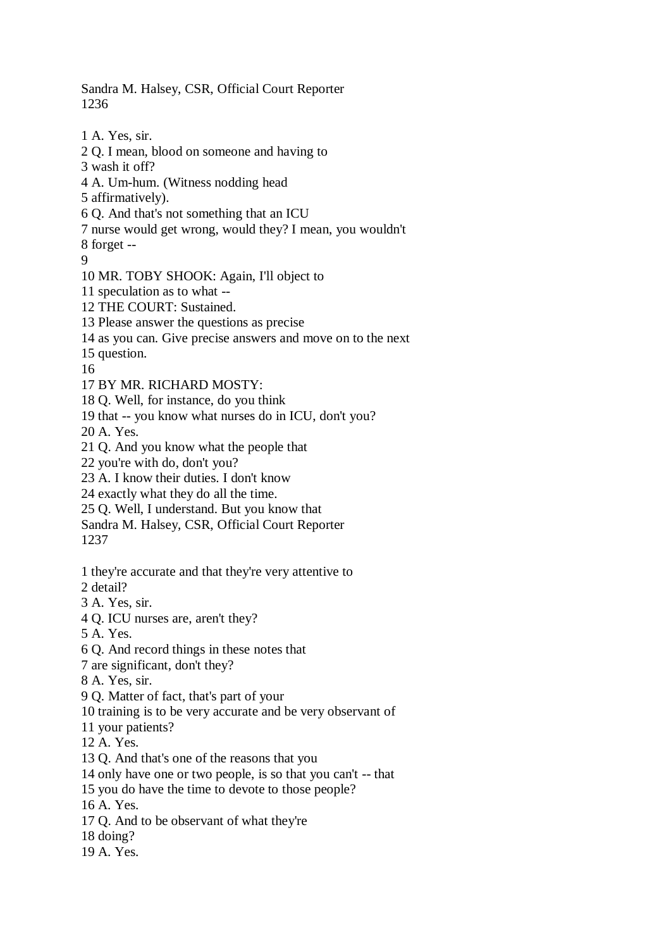Sandra M. Halsey, CSR, Official Court Reporter 1236

2 Q. I mean, blood on someone and having to

1 A. Yes, sir.

3 wash it off? 4 A. Um-hum. (Witness nodding head 5 affirmatively). 6 Q. And that's not something that an ICU 7 nurse would get wrong, would they? I mean, you wouldn't 8 forget -- 9 10 MR. TOBY SHOOK: Again, I'll object to 11 speculation as to what -- 12 THE COURT: Sustained. 13 Please answer the questions as precise 14 as you can. Give precise answers and move on to the next 15 question. 16 17 BY MR. RICHARD MOSTY: 18 Q. Well, for instance, do you think 19 that -- you know what nurses do in ICU, don't you? 20 A. Yes. 21 Q. And you know what the people that 22 you're with do, don't you? 23 A. I know their duties. I don't know 24 exactly what they do all the time. 25 Q. Well, I understand. But you know that Sandra M. Halsey, CSR, Official Court Reporter 1237 1 they're accurate and that they're very attentive to 2 detail? 3 A. Yes, sir. 4 Q. ICU nurses are, aren't they? 5 A. Yes. 6 Q. And record things in these notes that 7 are significant, don't they? 8 A. Yes, sir. 9 Q. Matter of fact, that's part of your 10 training is to be very accurate and be very observant of 11 your patients? 12 A. Yes. 13 Q. And that's one of the reasons that you 14 only have one or two people, is so that you can't -- that 15 you do have the time to devote to those people? 16 A. Yes. 17 Q. And to be observant of what they're 18 doing? 19 A. Yes.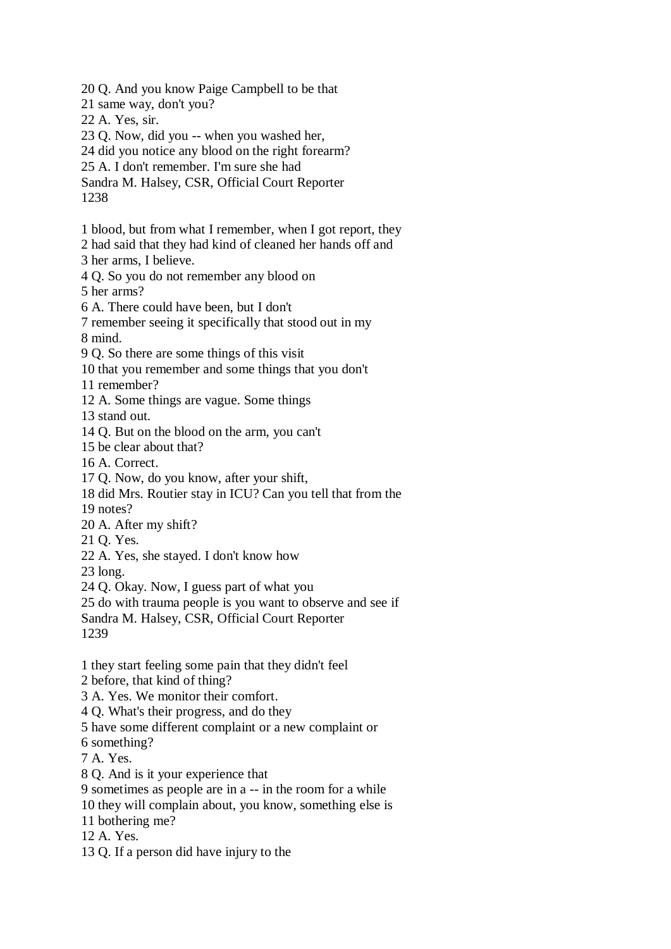20 Q. And you know Paige Campbell to be that 21 same way, don't you? 22 A. Yes, sir. 23 Q. Now, did you -- when you washed her, 24 did you notice any blood on the right forearm? 25 A. I don't remember. I'm sure she had Sandra M. Halsey, CSR, Official Court Reporter 1238 1 blood, but from what I remember, when I got report, they 2 had said that they had kind of cleaned her hands off and 3 her arms, I believe. 4 Q. So you do not remember any blood on 5 her arms? 6 A. There could have been, but I don't 7 remember seeing it specifically that stood out in my 8 mind. 9 Q. So there are some things of this visit 10 that you remember and some things that you don't 11 remember? 12 A. Some things are vague. Some things 13 stand out. 14 Q. But on the blood on the arm, you can't 15 be clear about that? 16 A. Correct. 17 Q. Now, do you know, after your shift, 18 did Mrs. Routier stay in ICU? Can you tell that from the 19 notes? 20 A. After my shift? 21 Q. Yes. 22 A. Yes, she stayed. I don't know how 23 long. 24 Q. Okay. Now, I guess part of what you 25 do with trauma people is you want to observe and see if Sandra M. Halsey, CSR, Official Court Reporter 1239 1 they start feeling some pain that they didn't feel 2 before, that kind of thing? 3 A. Yes. We monitor their comfort. 4 Q. What's their progress, and do they 5 have some different complaint or a new complaint or 6 something? 7 A. Yes. 8 Q. And is it your experience that 9 sometimes as people are in a -- in the room for a while 10 they will complain about, you know, something else is 11 bothering me? 12 A. Yes. 13 Q. If a person did have injury to the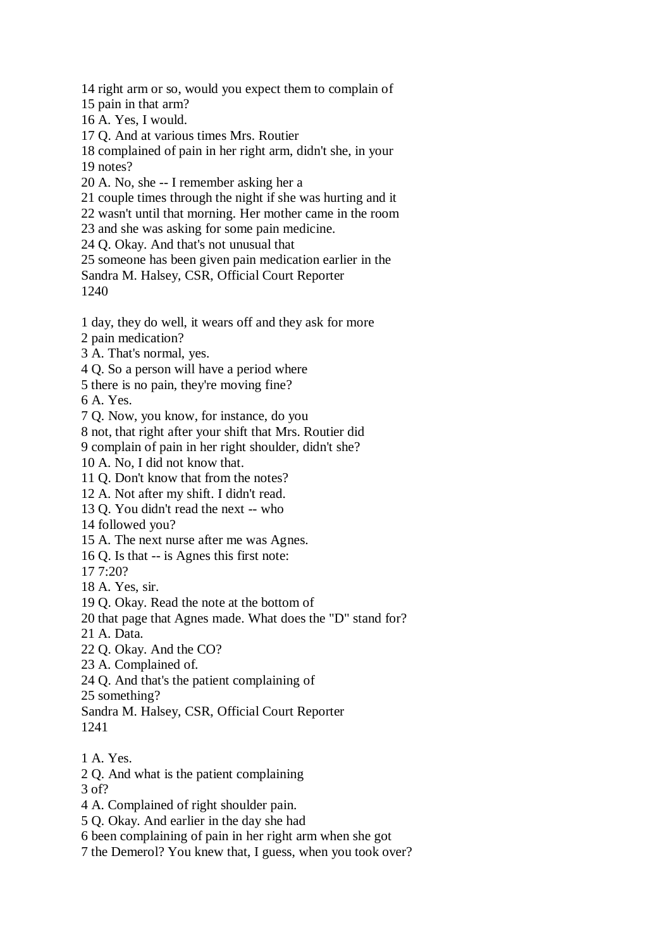14 right arm or so, would you expect them to complain of

15 pain in that arm?

16 A. Yes, I would.

17 Q. And at various times Mrs. Routier

18 complained of pain in her right arm, didn't she, in your 19 notes?

20 A. No, she -- I remember asking her a

21 couple times through the night if she was hurting and it

22 wasn't until that morning. Her mother came in the room

23 and she was asking for some pain medicine.

24 Q. Okay. And that's not unusual that

25 someone has been given pain medication earlier in the

Sandra M. Halsey, CSR, Official Court Reporter 1240

1 day, they do well, it wears off and they ask for more

2 pain medication?

3 A. That's normal, yes.

4 Q. So a person will have a period where

5 there is no pain, they're moving fine?

6 A. Yes.

7 Q. Now, you know, for instance, do you

8 not, that right after your shift that Mrs. Routier did

9 complain of pain in her right shoulder, didn't she?

10 A. No, I did not know that.

11 Q. Don't know that from the notes?

12 A. Not after my shift. I didn't read.

13 Q. You didn't read the next -- who

14 followed you?

15 A. The next nurse after me was Agnes.

16 Q. Is that -- is Agnes this first note:

17 7:20?

18 A. Yes, sir.

19 Q. Okay. Read the note at the bottom of

20 that page that Agnes made. What does the "D" stand for?

21 A. Data.

22 Q. Okay. And the CO?

23 A. Complained of.

24 Q. And that's the patient complaining of

25 something?

Sandra M. Halsey, CSR, Official Court Reporter

1241

1 A. Yes.

2 Q. And what is the patient complaining

3 of?

4 A. Complained of right shoulder pain.

5 Q. Okay. And earlier in the day she had

6 been complaining of pain in her right arm when she got

7 the Demerol? You knew that, I guess, when you took over?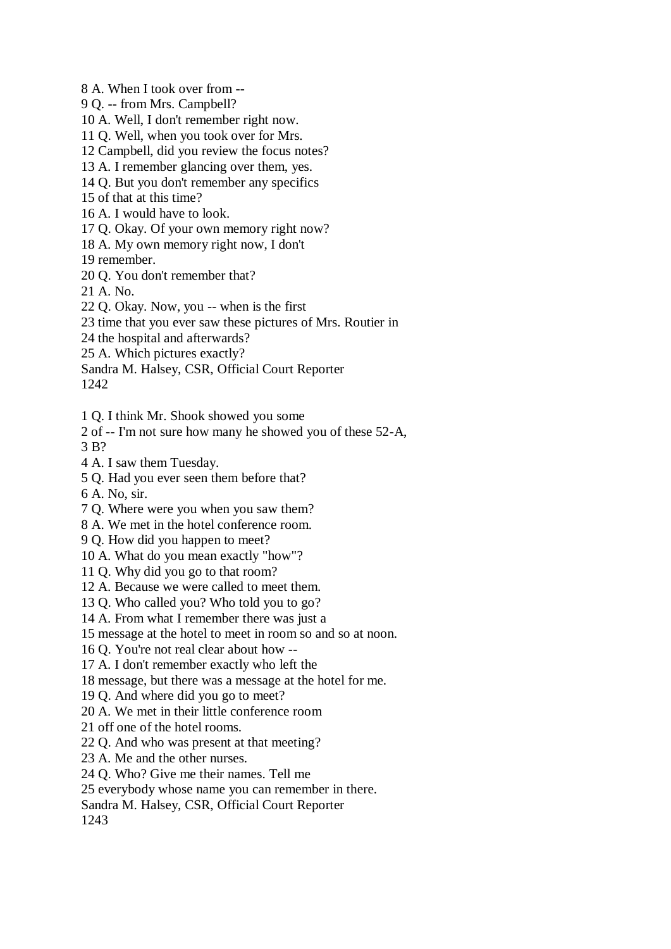8 A. When I took over from --

9 Q. -- from Mrs. Campbell?

10 A. Well, I don't remember right now.

11 Q. Well, when you took over for Mrs.

12 Campbell, did you review the focus notes?

13 A. I remember glancing over them, yes.

14 Q. But you don't remember any specifics

15 of that at this time?

16 A. I would have to look.

17 Q. Okay. Of your own memory right now?

18 A. My own memory right now, I don't

19 remember.

20 Q. You don't remember that?

21 A. No.

22 Q. Okay. Now, you -- when is the first

23 time that you ever saw these pictures of Mrs. Routier in

24 the hospital and afterwards?

25 A. Which pictures exactly?

Sandra M. Halsey, CSR, Official Court Reporter

1242

1 Q. I think Mr. Shook showed you some

2 of -- I'm not sure how many he showed you of these 52-A, 3 B?

4 A. I saw them Tuesday.

5 Q. Had you ever seen them before that?

6 A. No, sir.

7 Q. Where were you when you saw them?

8 A. We met in the hotel conference room.

9 Q. How did you happen to meet?

10 A. What do you mean exactly "how"?

11 Q. Why did you go to that room?

12 A. Because we were called to meet them.

13 Q. Who called you? Who told you to go?

14 A. From what I remember there was just a

15 message at the hotel to meet in room so and so at noon.

16 Q. You're not real clear about how --

17 A. I don't remember exactly who left the

18 message, but there was a message at the hotel for me.

19 Q. And where did you go to meet?

20 A. We met in their little conference room

21 off one of the hotel rooms.

22 Q. And who was present at that meeting?

23 A. Me and the other nurses.

24 Q. Who? Give me their names. Tell me

25 everybody whose name you can remember in there.

Sandra M. Halsey, CSR, Official Court Reporter

1243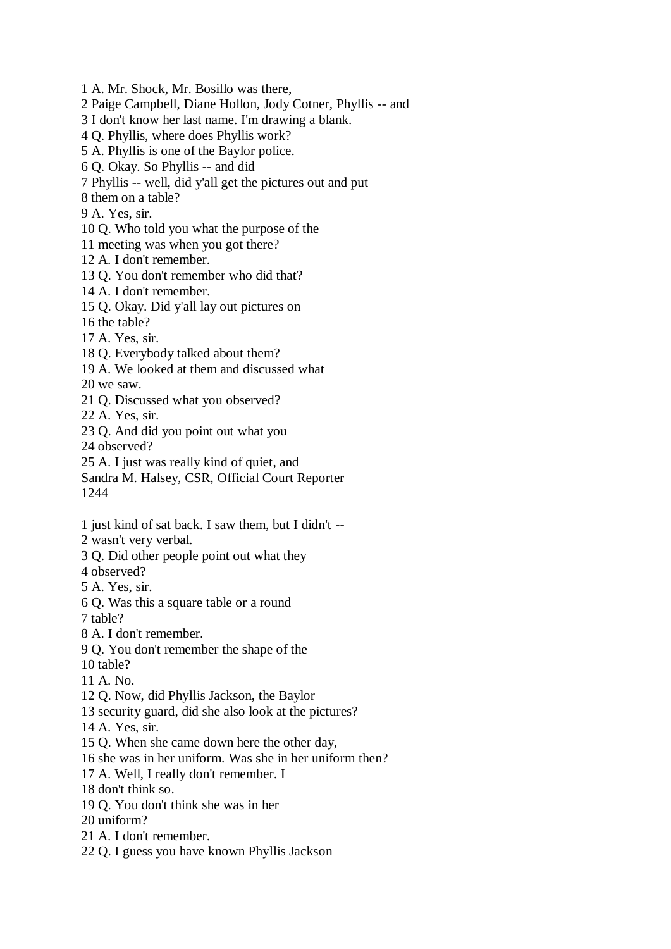1 A. Mr. Shock, Mr. Bosillo was there,

2 Paige Campbell, Diane Hollon, Jody Cotner, Phyllis -- and

3 I don't know her last name. I'm drawing a blank.

4 Q. Phyllis, where does Phyllis work?

5 A. Phyllis is one of the Baylor police.

6 Q. Okay. So Phyllis -- and did

7 Phyllis -- well, did y'all get the pictures out and put

8 them on a table?

9 A. Yes, sir.

10 Q. Who told you what the purpose of the

11 meeting was when you got there?

12 A. I don't remember.

13 Q. You don't remember who did that?

14 A. I don't remember.

15 Q. Okay. Did y'all lay out pictures on

16 the table?

17 A. Yes, sir.

18 Q. Everybody talked about them?

19 A. We looked at them and discussed what

20 we saw.

21 Q. Discussed what you observed?

22 A. Yes, sir.

23 Q. And did you point out what you

24 observed?

25 A. I just was really kind of quiet, and

Sandra M. Halsey, CSR, Official Court Reporter 1244

1 just kind of sat back. I saw them, but I didn't --

2 wasn't very verbal.

3 Q. Did other people point out what they

4 observed?

5 A. Yes, sir.

6 Q. Was this a square table or a round

7 table?

8 A. I don't remember.

9 Q. You don't remember the shape of the

10 table?

11 A. No.

12 Q. Now, did Phyllis Jackson, the Baylor

13 security guard, did she also look at the pictures?

14 A. Yes, sir.

15 Q. When she came down here the other day,

16 she was in her uniform. Was she in her uniform then?

17 A. Well, I really don't remember. I

18 don't think so.

19 Q. You don't think she was in her

20 uniform?

21 A. I don't remember.

22 Q. I guess you have known Phyllis Jackson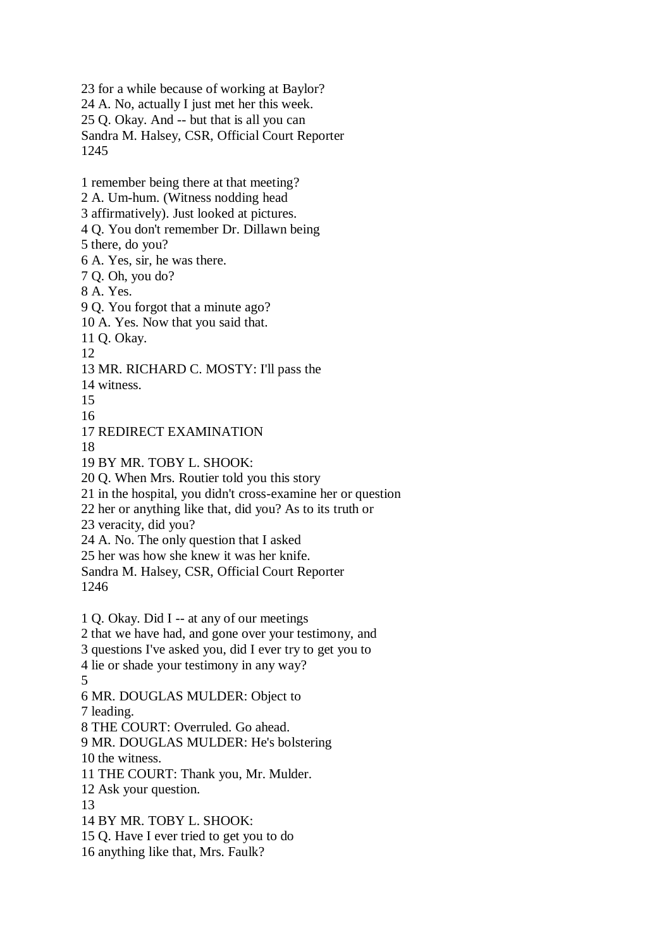23 for a while because of working at Baylor? 24 A. No, actually I just met her this week. 25 Q. Okay. And -- but that is all you can Sandra M. Halsey, CSR, Official Court Reporter 1245 1 remember being there at that meeting? 2 A. Um-hum. (Witness nodding head 3 affirmatively). Just looked at pictures. 4 Q. You don't remember Dr. Dillawn being 5 there, do you? 6 A. Yes, sir, he was there. 7 Q. Oh, you do? 8 A. Yes. 9 Q. You forgot that a minute ago? 10 A. Yes. Now that you said that. 11 Q. Okay. 12 13 MR. RICHARD C. MOSTY: I'll pass the 14 witness. 15 16 17 REDIRECT EXAMINATION 18 19 BY MR. TOBY L. SHOOK: 20 Q. When Mrs. Routier told you this story 21 in the hospital, you didn't cross-examine her or question 22 her or anything like that, did you? As to its truth or 23 veracity, did you? 24 A. No. The only question that I asked 25 her was how she knew it was her knife. Sandra M. Halsey, CSR, Official Court Reporter 1246 1 Q. Okay. Did I -- at any of our meetings 2 that we have had, and gone over your testimony, and 3 questions I've asked you, did I ever try to get you to 4 lie or shade your testimony in any way? 5 6 MR. DOUGLAS MULDER: Object to 7 leading. 8 THE COURT: Overruled. Go ahead. 9 MR. DOUGLAS MULDER: He's bolstering 10 the witness. 11 THE COURT: Thank you, Mr. Mulder. 12 Ask your question. 13 14 BY MR. TOBY L. SHOOK: 15 Q. Have I ever tried to get you to do 16 anything like that, Mrs. Faulk?